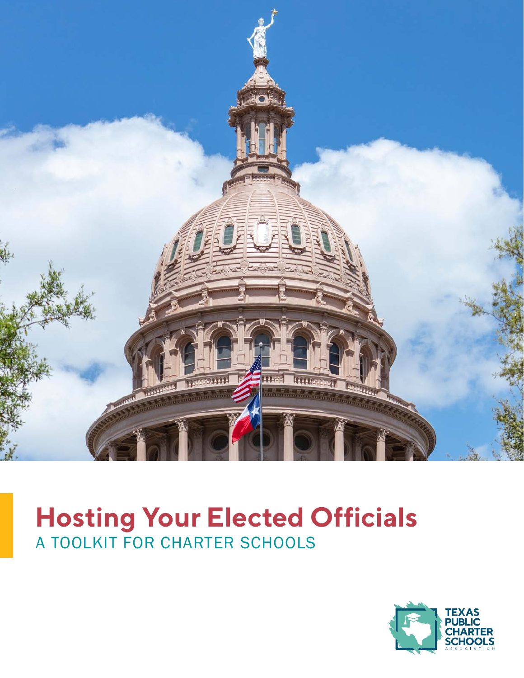

# **Hosting Your Elected Officials** A TOOLKIT FOR CHARTER SCHOOLS

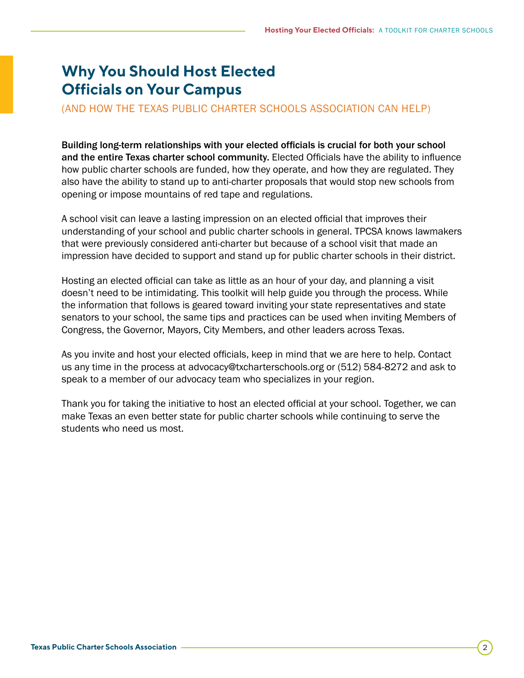## **Why You Should Host Elected Officials on Your Campus**

(AND HOW THE TEXAS PUBLIC CHARTER SCHOOLS ASSOCIATION CAN HELP)

Building long-term relationships with your elected officials is crucial for both your school and the entire Texas charter school community. Elected Officials have the ability to influence how public charter schools are funded, how they operate, and how they are regulated. They also have the ability to stand up to anti-charter proposals that would stop new schools from opening or impose mountains of red tape and regulations.

A school visit can leave a lasting impression on an elected official that improves their understanding of your school and public charter schools in general. TPCSA knows lawmakers that were previously considered anti-charter but because of a school visit that made an impression have decided to support and stand up for public charter schools in their district.

Hosting an elected official can take as little as an hour of your day, and planning a visit doesn't need to be intimidating. This toolkit will help guide you through the process. While the information that follows is geared toward inviting your state representatives and state senators to your school, the same tips and practices can be used when inviting Members of Congress, the Governor, Mayors, City Members, and other leaders across Texas.

As you invite and host your elected officials, keep in mind that we are here to help. Contact us any time in the process at advocacy@txcharterschools.org or (512) 584-8272 and ask to speak to a member of our advocacy team who specializes in your region.

Thank you for taking the initiative to host an elected official at your school. Together, we can make Texas an even better state for public charter schools while continuing to serve the students who need us most.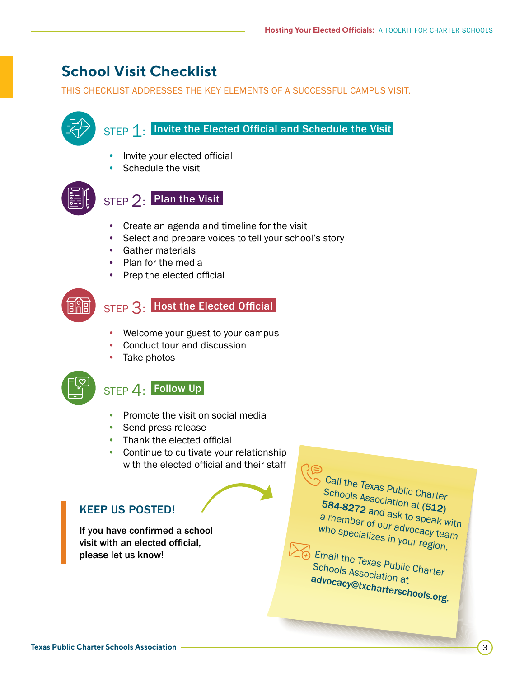## **School Visit Checklist**

THIS CHECKLIST ADDRESSES THE KEY ELEMENTS OF A SUCCESSFUL CAMPUS VISIT.



- Conduct tour and discussion
- Take photos



## STEP 4: Follow Up

- Promote the visit on social media
- Send press release
- Thank the elected official
- Continue to cultivate your relationship with the elected official and their staff

## KEEP US POSTED!

If you have confirmed a school visit with an elected official, please let us know!

Call the Texas Public Charter Schools Association at<br>584-8272 and ask in and ask to speak with<br>and ask to speak with a member of our advocacy team who specializes in your region.

Email the Texas Public Charter Schools Association at [advocacy@txcharterschools.org](mailto:advocacy%40txcharterschools.org?subject=).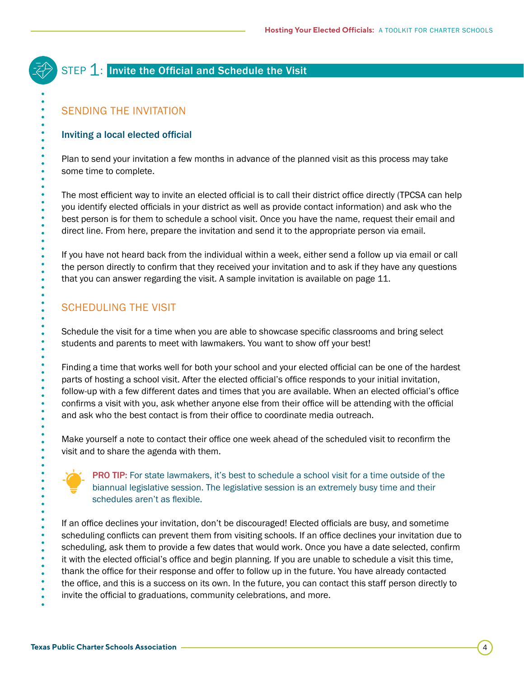## STEP 1: Invite the Official and Schedule the Visit

### SENDING THE INVITATION

#### Inviting a local elected official

Plan to send your invitation a few months in advance of the planned visit as this process may take some time to complete.

The most efficient way to invite an elected official is to call their district office directly (TPCSA can help you identify elected officials in your district as well as provide contact information) and ask who the best person is for them to schedule a school visit. Once you have the name, request their email and direct line. From here, prepare the invitation and send it to the appropriate person via email.

If you have not heard back from the individual within a week, either send a follow up via email or call the person directly to confirm that they received your invitation and to ask if they have any questions that you can answer regarding the visit. A sample invitation is available on [page 11.](#page-10-0)

### SCHEDULING THE VISIT

Schedule the visit for a time when you are able to showcase specific classrooms and bring select students and parents to meet with lawmakers. You want to show off your best!

Finding a time that works well for both your school and your elected official can be one of the hardest parts of hosting a school visit. After the elected official's office responds to your initial invitation, follow-up with a few different dates and times that you are available. When an elected official's office confirms a visit with you, ask whether anyone else from their office will be attending with the official and ask who the best contact is from their office to coordinate media outreach.

Make yourself a note to contact their office one week ahead of the scheduled visit to reconfirm the visit and to share the agenda with them.



**PRO TIP:** For state lawmakers, it's best to schedule a school visit for a time outside of the biannual legislative session. The legislative session is an extremely busy time and their schedules aren't as flexible.

If an office declines your invitation, don't be discouraged! Elected officials are busy, and sometime scheduling conflicts can prevent them from visiting schools. If an office declines your invitation due to scheduling, ask them to provide a few dates that would work. Once you have a date selected, confirm it with the elected official's office and begin planning. If you are unable to schedule a visit this time, thank the office for their response and offer to follow up in the future. You have already contacted the office, and this is a success on its own. In the future, you can contact this staff person directly to invite the official to graduations, community celebrations, and more.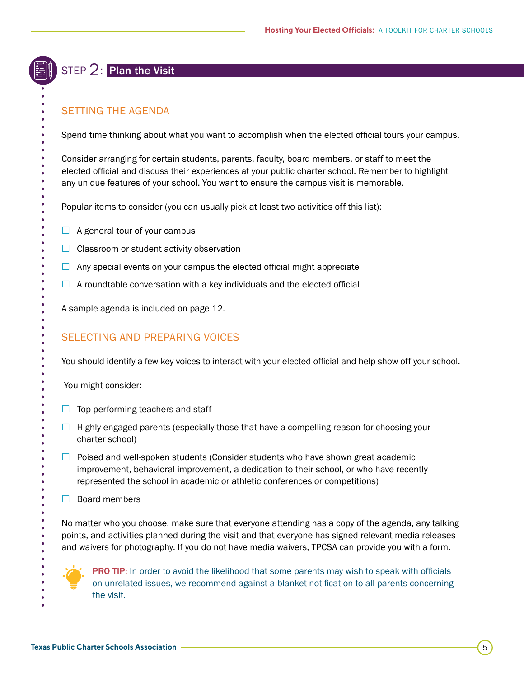## STEP 2: Plan the Visit

## SETTING THE AGENDA

Spend time thinking about what you want to accomplish when the elected official tours your campus.

Consider arranging for certain students, parents, faculty, board members, or staff to meet the elected official and discuss their experiences at your public charter school. Remember to highlight any unique features of your school. You want to ensure the campus visit is memorable.

Popular items to consider (you can usually pick at least two activities off this list):

- $\Box$  A general tour of your campus
- $\Box$  Classroom or student activity observation
- $\Box$  Any special events on your campus the elected official might appreciate
- $\Box$  A roundtable conversation with a key individuals and the elected official

A sample agenda is included on [page 12](#page-11-0).

## SELECTING AND PREPARING VOICES

You should identify a few key voices to interact with your elected official and help show off your school.

You might consider:

- $\Box$  Top performing teachers and staff
- $\Box$  Highly engaged parents (especially those that have a compelling reason for choosing your charter school)
- $\Box$  Poised and well-spoken students (Consider students who have shown great academic improvement, behavioral improvement, a dedication to their school, or who have recently represented the school in academic or athletic conferences or competitions)
- $\Box$  Board members

No matter who you choose, make sure that everyone attending has a copy of the agenda, any talking points, and activities planned during the visit and that everyone has signed relevant media releases and waivers for photography. If you do not have media waivers, TPCSA can provide you with a form.



**PRO TIP:** In order to avoid the likelihood that some parents may wish to speak with officials on unrelated issues, we recommend against a blanket notification to all parents concerning the visit.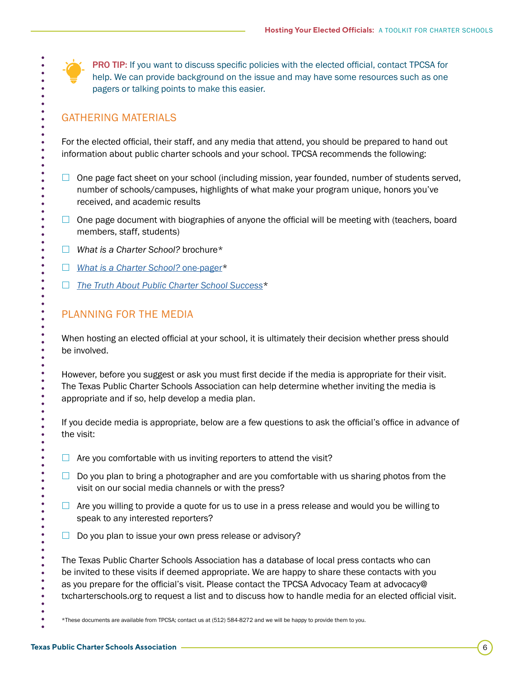PRO TIP: If you want to discuss specific policies with the elected official, contact TPCSA for help. We can provide background on the issue and may have some resources such as one pagers or talking points to make this easier.

#### GATHERING MATERIALS

For the elected official, their staff, and any media that attend, you should be prepared to hand out information about public charter schools and your school. TPCSA recommends the following:

- $\Box$  One page fact sheet on your school (including mission, year founded, number of students served, number of schools/campuses, highlights of what make your program unique, honors you've received, and academic results
- $\Box$  One page document with biographies of anyone the official will be meeting with (teachers, board members, staff, students)
- £ *What is a Charter School?* brochure\*
- □ *[What is a Charter School?](https://txcharterschools.org/wp-content/uploads/2020/05/WhatIsACharterSchool_trifold-brochure_v25.pdf)* one-pager\*
- £ *[The Truth About Public Charter School Success](https://txcharterschools.org/wp-content/uploads/2020/11/Truth-About-Charter-Success-Document.pdf)*\*

### PLANNING FOR THE MEDIA

When hosting an elected official at your school, it is ultimately their decision whether press should be involved.

However, before you suggest or ask you must first decide if the media is appropriate for their visit. The Texas Public Charter Schools Association can help determine whether inviting the media is appropriate and if so, help develop a media plan.

If you decide media is appropriate, below are a few questions to ask the official's office in advance of the visit:

- $\Box$  Are you comfortable with us inviting reporters to attend the visit?
- $\Box$  Do you plan to bring a photographer and are you comfortable with us sharing photos from the visit on our social media channels or with the press?
- $\Box$  Are you willing to provide a quote for us to use in a press release and would you be willing to speak to any interested reporters?
- $\Box$  Do you plan to issue your own press release or advisory?

The Texas Public Charter Schools Association has a database of local press contacts who can be invited to these visits if deemed appropriate. We are happy to share these contacts with you as you prepare for the official's visit. Please contact the TPCSA Advocacy Team at advocacy@ txcharterschools.org to request a list and to discuss how to handle media for an elected official visit.

\*These documents are available from TPCSA; contact us at (512) 584-8272 and we will be happy to provide them to you.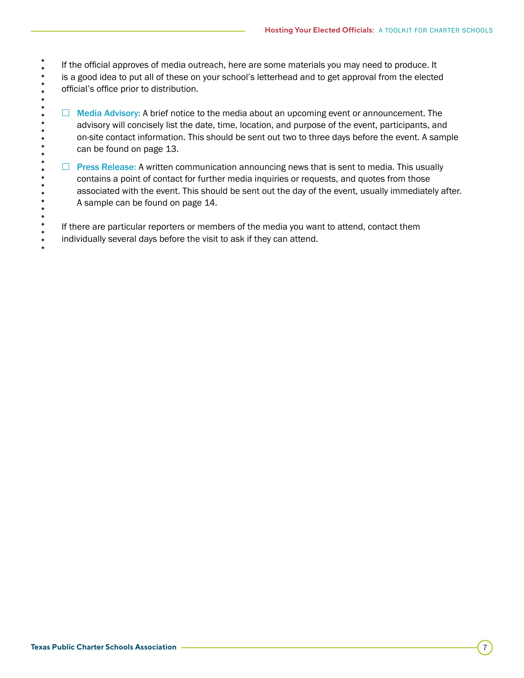If the official approves of media outreach, here are some materials you may need to produce. It is a good idea to put all of these on your school's letterhead and to get approval from the elected official's office prior to distribution.

- $\Box$  Media Advisory: A brief notice to the media about an upcoming event or announcement. The advisory will concisely list the date, time, location, and purpose of the event, participants, and on-site contact information. This should be sent out two to three days before the event. A sample can be found on [page 13](#page-12-0).
- $\Box$  Press Release: A written communication announcing news that is sent to media. This usually contains a point of contact for further media inquiries or requests, and quotes from those associated with the event. This should be sent out the day of the event, usually immediately after. A sample can be found on [page 14](#page-13-0).

If there are particular reporters or members of the media you want to attend, contact them individually several days before the visit to ask if they can attend.

 $\bullet$  $\bullet$  $\bullet$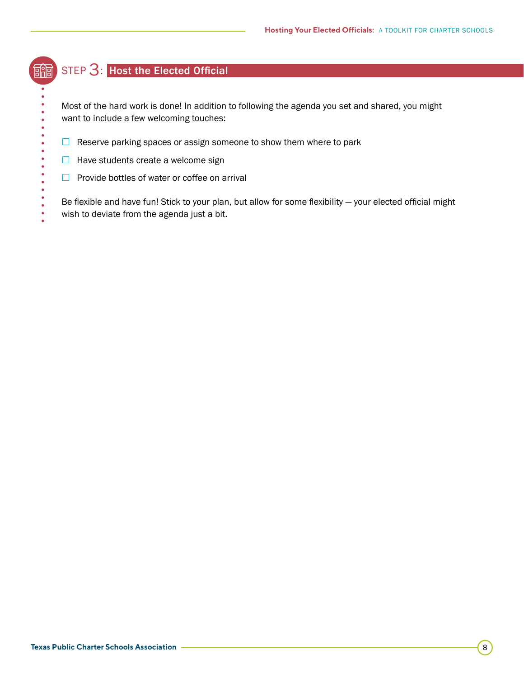## STEP 3: Host the Elected Official

酾

 $\bullet$  $\bullet$ 

 $\bullet$  $\bullet$  Most of the hard work is done! In addition to following the agenda you set and shared, you might want to include a few welcoming touches:

- $\Box$  Reserve parking spaces or assign someone to show them where to park
- $\Box$  Have students create a welcome sign
- $\Box$  Provide bottles of water or coffee on arrival

Be flexible and have fun! Stick to your plan, but allow for some flexibility — your elected official might wish to deviate from the agenda just a bit.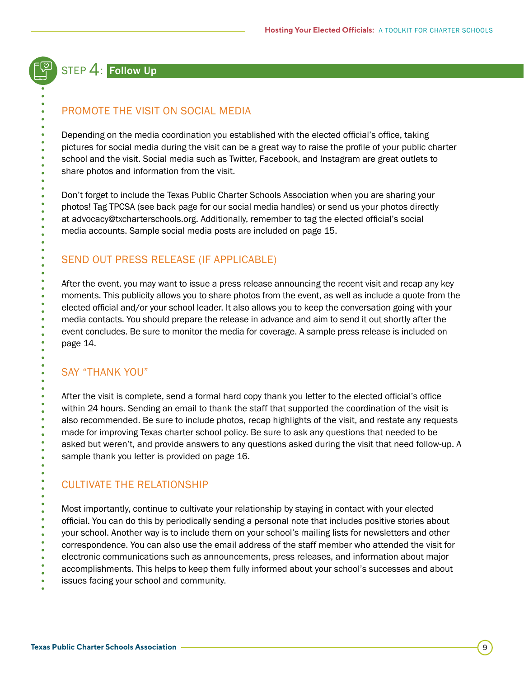## STEP 4: Follow Up

### PROMOTE THE VISIT ON SOCIAL MEDIA

Depending on the media coordination you established with the elected official's office, taking pictures for social media during the visit can be a great way to raise the profile of your public charter school and the visit. Social media such as Twitter, Facebook, and Instagram are great outlets to share photos and information from the visit.

Don't forget to include the Texas Public Charter Schools Association when you are sharing your photos! Tag TPCSA (see back page for our social media handles) or send us your photos directly at [advocacy@txcharterschools.org](mailto:advocacy%40txcharterschools.org?subject=). Additionally, remember to tag the elected official's social media accounts. Sample social media posts are included on [page 15](#page-14-0).

### SEND OUT PRESS RELEASE (IF APPLICABLE)

After the event, you may want to issue a press release announcing the recent visit and recap any key moments. This publicity allows you to share photos from the event, as well as include a quote from the elected official and/or your school leader. It also allows you to keep the conversation going with your media contacts. You should prepare the release in advance and aim to send it out shortly after the event concludes. Be sure to monitor the media for coverage. A sample press release is included on [page 14.](#page-13-0)

### SAY "THANK YOU"

After the visit is complete, send a formal hard copy thank you letter to the elected official's office within 24 hours. Sending an email to thank the staff that supported the coordination of the visit is also recommended. Be sure to include photos, recap highlights of the visit, and restate any requests made for improving Texas charter school policy. Be sure to ask any questions that needed to be asked but weren't, and provide answers to any questions asked during the visit that need follow-up. A sample thank you letter is provided on [page 16](#page-15-0).

### CULTIVATE THE RELATIONSHIP

Most importantly, continue to cultivate your relationship by staying in contact with your elected official. You can do this by periodically sending a personal note that includes positive stories about your school. Another way is to include them on your school's mailing lists for newsletters and other correspondence. You can also use the email address of the staff member who attended the visit for electronic communications such as announcements, press releases, and information about major accomplishments. This helps to keep them fully informed about your school's successes and about issues facing your school and community.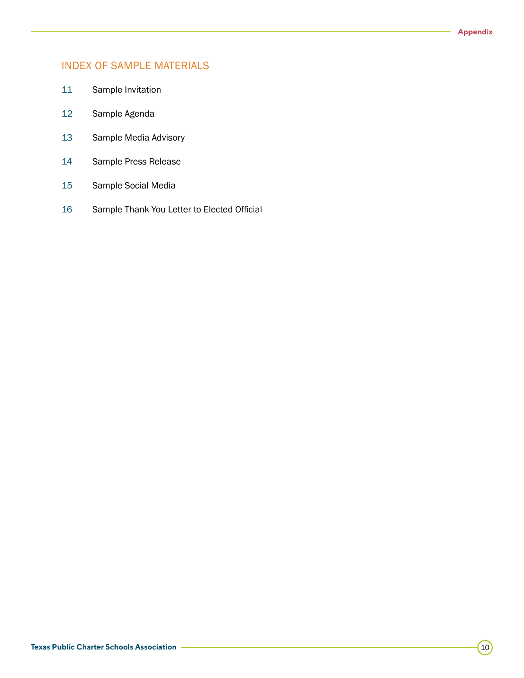### INDEX OF SAMPLE MATERIALS

- [Sample Invitation](#page-10-0)
- [Sample Agenda](#page-11-0)
- [Sample Media Advisory](#page-12-0)
- [Sample Press Release](#page-13-0)
- [Sample Social Media](#page-14-0)
- [Sample Thank You Letter to Elected Official](#page-15-0)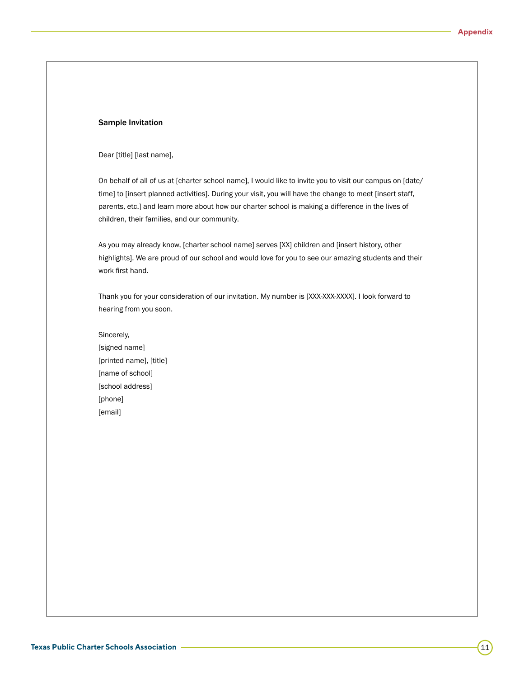#### <span id="page-10-0"></span>Sample Invitation

#### Dear [title] [last name],

On behalf of all of us at [charter school name], I would like to invite you to visit our campus on [date/ time] to [insert planned activities]. During your visit, you will have the change to meet [insert staff, parents, etc.] and learn more about how our charter school is making a difference in the lives of children, their families, and our community.

As you may already know, [charter school name] serves [XX] children and [insert history, other highlights]. We are proud of our school and would love for you to see our amazing students and their work first hand.

Thank you for your consideration of our invitation. My number is [XXX-XXX-XXXX]. I look forward to hearing from you soon.

Sincerely, [signed name] [printed name], [title] [name of school] [school address] [phone] [email]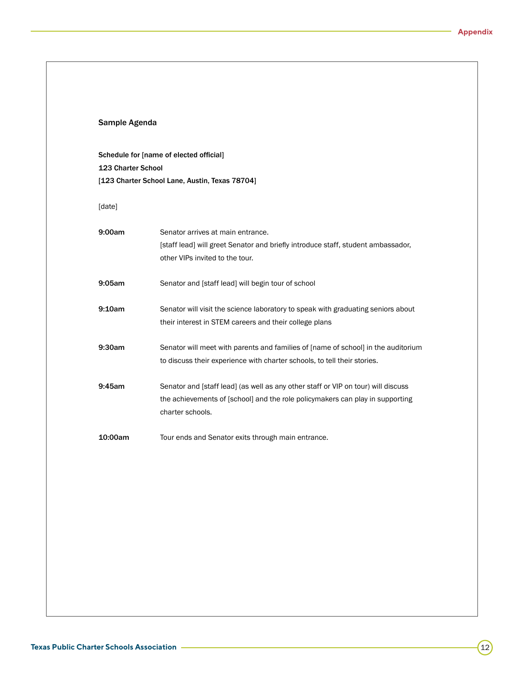<span id="page-11-0"></span>

| Sample Agenda<br>Schedule for [name of elected official] |                                                                                                                     |
|----------------------------------------------------------|---------------------------------------------------------------------------------------------------------------------|
|                                                          |                                                                                                                     |
| [date]                                                   |                                                                                                                     |
| 9:00am                                                   | Senator arrives at main entrance.                                                                                   |
|                                                          | [staff lead] will greet Senator and briefly introduce staff, student ambassador,<br>other VIPs invited to the tour. |
| 9:05am                                                   | Senator and [staff lead] will begin tour of school                                                                  |
| 9:10am                                                   | Senator will visit the science laboratory to speak with graduating seniors about                                    |
|                                                          | their interest in STEM careers and their college plans                                                              |
| 9:30am                                                   | Senator will meet with parents and families of [name of school] in the auditorium                                   |
|                                                          | to discuss their experience with charter schools, to tell their stories.                                            |
| 9:45am                                                   | Senator and [staff lead] (as well as any other staff or VIP on tour) will discuss                                   |
|                                                          | the achievements of [school] and the role policymakers can play in supporting<br>charter schools.                   |
| 10:00am                                                  | Tour ends and Senator exits through main entrance.                                                                  |
|                                                          |                                                                                                                     |
|                                                          |                                                                                                                     |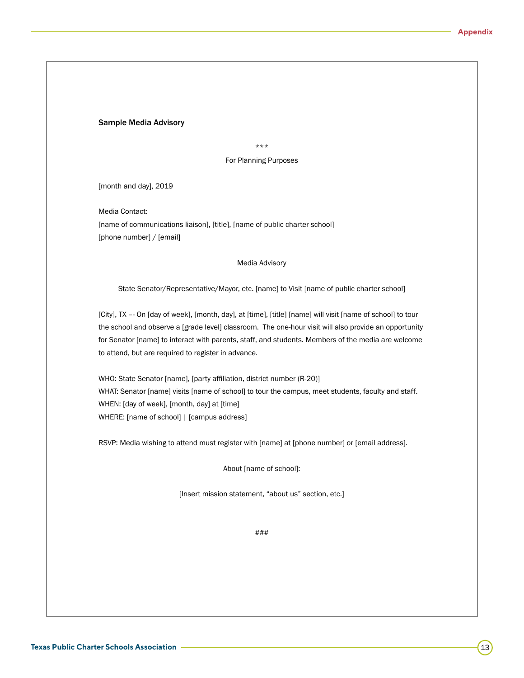#### <span id="page-12-0"></span>Sample Media Advisory

\*\*\*

For Planning Purposes

[month and day], 2019

Media Contact: [name of communications liaison], [title], [name of public charter school] [phone number] / [email]

#### Media Advisory

State Senator/Representative/Mayor, etc. [name] to Visit [name of public charter school]

[City], TX –- On [day of week], [month, day], at [time], [title] [name] will visit [name of school] to tour the school and observe a [grade level] classroom. The one-hour visit will also provide an opportunity for Senator [name] to interact with parents, staff, and students. Members of the media are welcome to attend, but are required to register in advance.

WHO: State Senator [name], [party affiliation, district number (R-20)] WHAT: Senator [name] visits [name of school] to tour the campus, meet students, faculty and staff. WHEN: [day of week], [month, day] at [time] WHERE: [name of school] | [campus address]

RSVP: Media wishing to attend must register with [name] at [phone number] or [email address].

About [name of school]:

[Insert mission statement, "about us" section, etc.]

###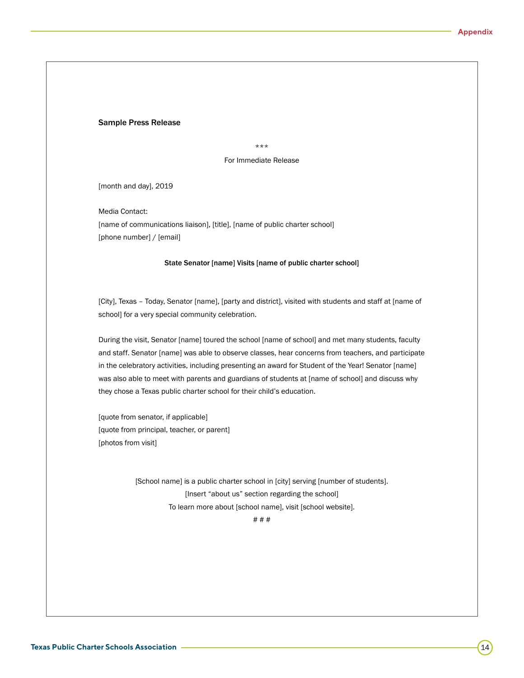#### <span id="page-13-0"></span>Sample Press Release

\*\*\*

For Immediate Release

[month and day], 2019

Media Contact: [name of communications liaison], [title], [name of public charter school] [phone number] / [email]

#### State Senator [name] Visits [name of public charter school]

[City], Texas – Today, Senator [name], [party and district], visited with students and staff at [name of school] for a very special community celebration.

During the visit, Senator [name] toured the school [name of school] and met many students, faculty and staff. Senator [name] was able to observe classes, hear concerns from teachers, and participate in the celebratory activities, including presenting an award for Student of the Year! Senator [name] was also able to meet with parents and guardians of students at [name of school] and discuss why they chose a Texas public charter school for their child's education.

[quote from senator, if applicable] [quote from principal, teacher, or parent] [photos from visit]

> [School name] is a public charter school in [city] serving [number of students]. [Insert "about us" section regarding the school] To learn more about [school name], visit [school website].

> > # # #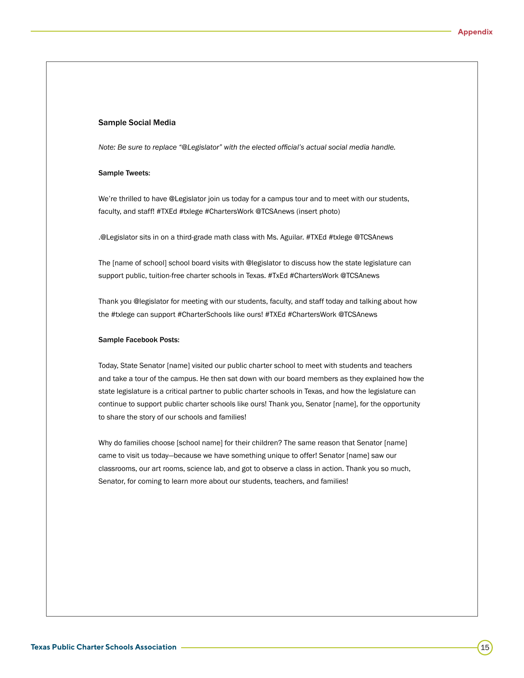#### <span id="page-14-0"></span>Sample Social Media

*Note: Be sure to replace "@Legislator" with the elected official's actual social media handle.* 

#### Sample Tweets:

We're thrilled to have @Legislator join us today for a campus tour and to meet with our students, faculty, and staff! #TXEd #txlege #ChartersWork @TCSAnews (insert photo)

.@Legislator sits in on a third-grade math class with Ms. Aguilar. #TXEd #txlege @TCSAnews

The [name of school] school board visits with @legislator to discuss how the state legislature can support public, tuition-free charter schools in Texas. #TxEd #ChartersWork @TCSAnews

Thank you @legislator for meeting with our students, faculty, and staff today and talking about how the #txlege can support #CharterSchools like ours! #TXEd #ChartersWork @TCSAnews

#### Sample Facebook Posts:

Today, State Senator [name] visited our public charter school to meet with students and teachers and take a tour of the campus. He then sat down with our board members as they explained how the state legislature is a critical partner to public charter schools in Texas, and how the legislature can continue to support public charter schools like ours! Thank you, Senator [name], for the opportunity to share the story of our schools and families!

Why do families choose [school name] for their children? The same reason that Senator [name] came to visit us today—because we have something unique to offer! Senator [name] saw our classrooms, our art rooms, science lab, and got to observe a class in action. Thank you so much, Senator, for coming to learn more about our students, teachers, and families!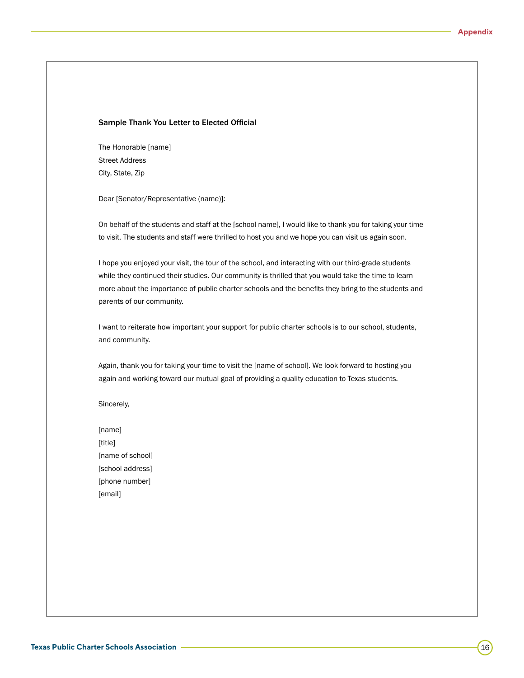#### <span id="page-15-0"></span>Sample Thank You Letter to Elected Official

The Honorable [name] Street Address City, State, Zip

Dear [Senator/Representative (name)]:

On behalf of the students and staff at the [school name], I would like to thank you for taking your time to visit. The students and staff were thrilled to host you and we hope you can visit us again soon.

I hope you enjoyed your visit, the tour of the school, and interacting with our third-grade students while they continued their studies. Our community is thrilled that you would take the time to learn more about the importance of public charter schools and the benefits they bring to the students and parents of our community.

I want to reiterate how important your support for public charter schools is to our school, students, and community.

Again, thank you for taking your time to visit the [name of school]. We look forward to hosting you again and working toward our mutual goal of providing a quality education to Texas students.

Sincerely,

[name] [title] [name of school] [school address] [phone number] [email]